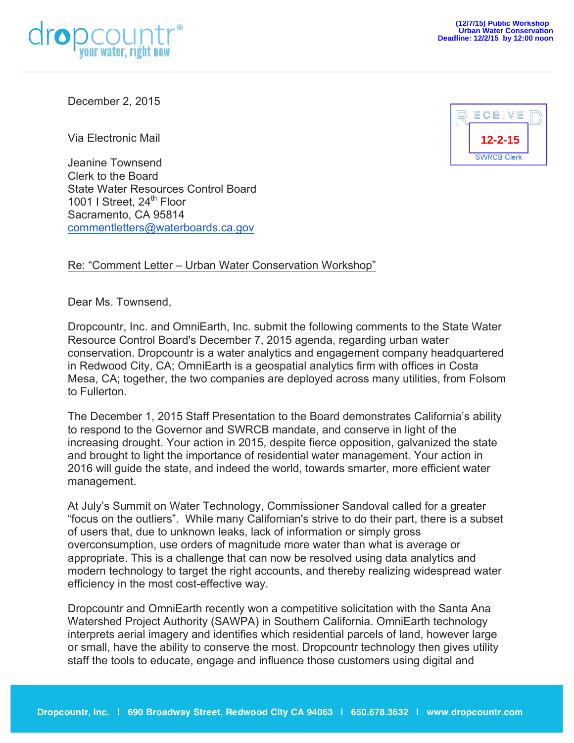



December 2, 2015

Via Electronic Mail

Jeanine Townsend Clerk to the Board State Water Resources Control Board 1001 I Street,  $24^{\text{th}}$  Floor Sacramento, CA 95814 commentletters@waterboards.ca.gov

## Re: "Comment Letter – Urban Water Conservation Workshop"

Dear Ms. Townsend,

Dropcountr, Inc. and OmniEarth, Inc. submit the following comments to the State Water Resource Control Board's December 7, 2015 agenda, regarding urban water conservation. Dropcountr is a water analytics and engagement company headquartered in Redwood City, CA; OmniEarth is a geospatial analytics firm with offices in Costa Mesa, CA; together, the two companies are deployed across many utilities, from Folsom to Fullerton.

The December 1, 2015 Staff Presentation to the Board demonstrates California's ability to respond to the Governor and SWRCB mandate, and conserve in light of the increasing drought. Your action in 2015, despite fierce opposition, galvanized the state and brought to light the importance of residential water management. Your action in 2016 will guide the state, and indeed the world, towards smarter, more efficient water management.

At July's Summit on Water Technology, Commissioner Sandoval called for a greater "focus on the outliers". While many Californian's strive to do their part, there is a subset of users that, due to unknown leaks, lack of information or simply gross overconsumption, use orders of magnitude more water than what is average or appropriate. This is a challenge that can now be resolved using data analytics and modern technology to target the right accounts, and thereby realizing widespread water efficiency in the most cost-effective way.

Dropcountr and OmniEarth recently won a competitive solicitation with the Santa Ana Watershed Project Authority (SAWPA) in Southern California. OmniEarth technology interprets aerial imagery and identifies which residential parcels of land, however large or small, have the ability to conserve the most. Dropcountr technology then gives utility staff the tools to educate, engage and influence those customers using digital and